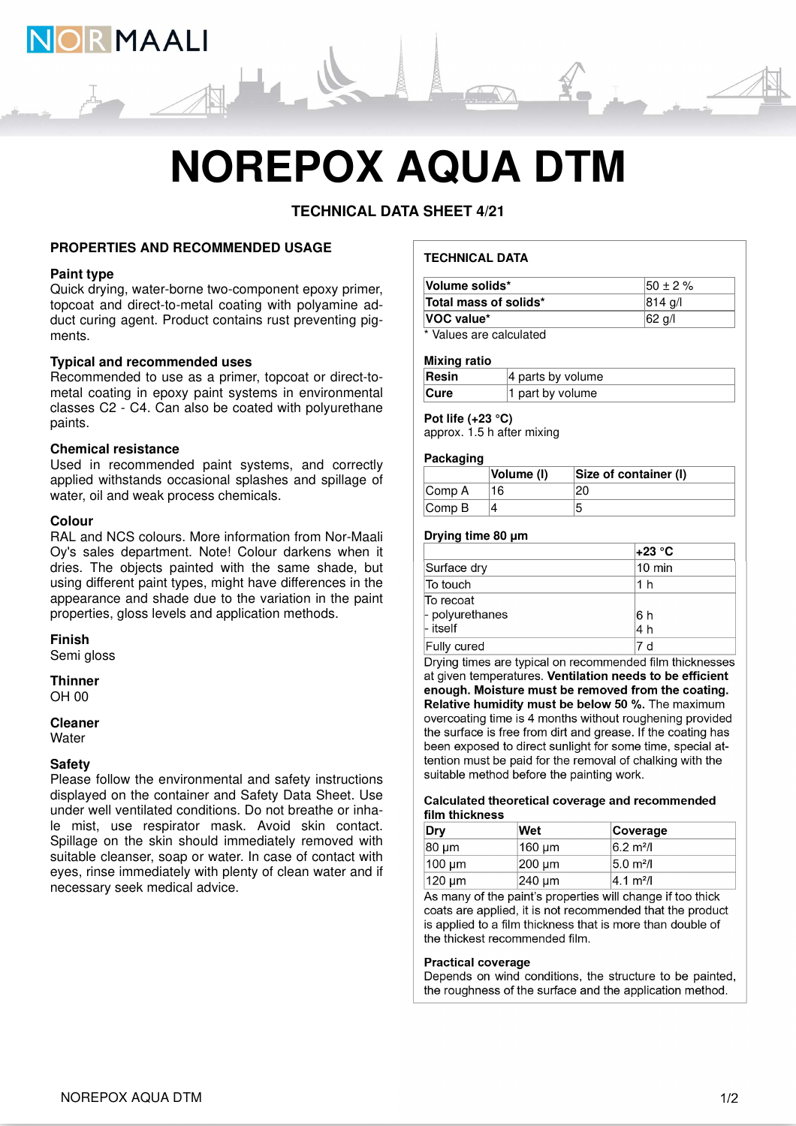

**TECHNICAL DATA SHEET 4/21**

## **PROPERTIES AND RECOMMENDED USAGE**

#### **Paint type**

Quick drying, water-borne two-component epoxy primer, topcoat and direct-to-metal coating with polyamine adduct curing agent. Product contains rust preventing pigments.

# **Typical and recommended uses**

OR MAALI

Recommended to use as a primer, topcoat or direct-tometal coating in epoxy paint systems in environmental classes C2 - C4. Can also be coated with polyurethane paints.

## **Chemical resistance**

Used in recommended paint systems, and correctly applied withstands occasional splashes and spillage of water, oil and weak process chemicals.

## **Colour**

RAL and NCS colours. More information from Nor-Maali Oy's sales department. Note! Colour darkens when it dries. The objects painted with the same shade, but using different paint types, might have differences in the appearance and shade due to the variation in the paint properties, gloss levels and application methods.

## **Finish**

Semi gloss

#### **Thinner**  $OH$  00

#### **Cleaner**

**Water** 

#### **Safety**

Please follow the environmental and safety instructions displayed on the container and Safety Data Sheet. Use under well ventilated conditions. Do not breathe or inhale mist, use respirator mask. Avoid skin contact. Spillage on the skin should immediately removed with suitable cleanser, soap or water. In case of contact with eyes, rinse immediately with plenty of clean water and if necessary seek medical advice.

# **TECHNICAL DATA**

| Volume solids*                    | $150 \pm 2 \%$<br> 814 g/l |
|-----------------------------------|----------------------------|
| Total mass of solids*             |                            |
| VOC value*                        | 62 g/l                     |
| <b><i><u><del>.</del></u></i></b> |                            |

\* Values are calculated

#### **Mixing ratio**

| Resin       | $ 4$ parts by volume |
|-------------|----------------------|
| <b>Cure</b> | 1 part by volume     |

# **Pot life (+23 °C)**

approx. 1.5 h after mixing

## **Packaging**

|                             | <b>Volume (I)</b> | Size of container (I) |
|-----------------------------|-------------------|-----------------------|
| Comp A                      | 16                |                       |
| $\mathsf{Comp}\,\mathsf{B}$ |                   |                       |

#### **Drying time 80 μm**

|                                            | l+23 °C          |
|--------------------------------------------|------------------|
| Surface dry                                | $10 \text{ min}$ |
| To touch                                   | 1 h              |
| To recoat<br>- polyurethanes<br>$-$ itself | 16 h<br>4 h      |
| Fully cured                                |                  |

Drying times are typical on recommended film thicknesses at given temperatures. Ventilation needs to be efficient enough. Moisture must be removed from the coating. Relative humidity must be below 50 %. The maximum overcoating time is 4 months without roughening provided the surface is free from dirt and grease. If the coating has been exposed to direct sunlight for some time, special attention must be paid for the removal of chalking with the suitable method before the painting work.

#### Calculated theoretical coverage and recommended film thickness

| Dry         | Wet     | Coverage             |
|-------------|---------|----------------------|
| 80 um       | ∣160 µm | $6.2 \text{ m}^2$ /l |
| $100 \mu m$ | 200 um  | $5.0 \text{ m}^2$ /l |
| 120 um      | 240 um  | $4.1 \text{ m}^2$ /  |

As many of the paint's properties will change if too thick coats are applied, it is not recommended that the product is applied to a film thickness that is more than double of the thickest recommended film.

#### **Practical coverage**

Depends on wind conditions, the structure to be painted, the roughness of the surface and the application method.